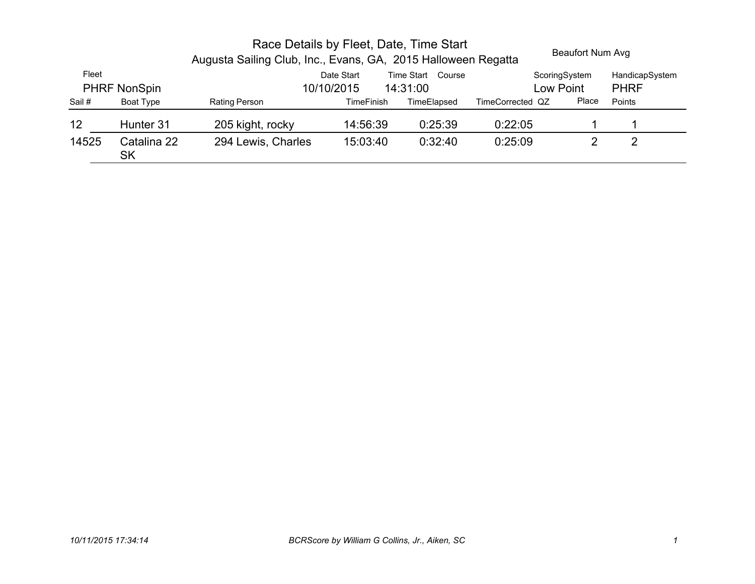|        |                          | Race Details by Fleet, Date, Time Start<br>Augusta Sailing Club, Inc., Evans, GA, 2015 Halloween Regatta |                   |                      |                  | Beaufort Num Avg |                |
|--------|--------------------------|----------------------------------------------------------------------------------------------------------|-------------------|----------------------|------------------|------------------|----------------|
| Fleet  |                          |                                                                                                          | Date Start        | Time Start<br>Course |                  | ScoringSystem    | HandicapSystem |
|        | <b>PHRF NonSpin</b>      |                                                                                                          | 10/10/2015        | 14:31:00             | Low Point        |                  | <b>PHRF</b>    |
| Sail # | Boat Type                | Rating Person                                                                                            | <b>TimeFinish</b> | TimeElapsed          | TimeCorrected QZ | Place            | Points         |
| 12     | Hunter 31                | 205 kight, rocky                                                                                         | 14:56:39          | 0:25:39              | 0.22.05          |                  |                |
| 14525  | Catalina 22<br><b>SK</b> | 294 Lewis, Charles                                                                                       | 15:03:40          | 0:32:40              | 0:25:09          |                  | 2              |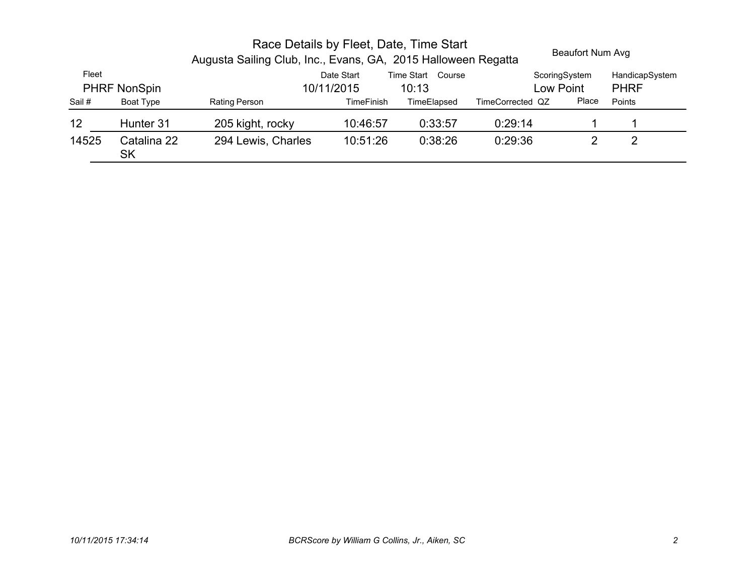|        |                          | Race Details by Fleet, Date, Time Start<br>Augusta Sailing Club, Inc., Evans, GA, 2015 Halloween Regatta |            | Beaufort Num Avg  |                  |       |                |
|--------|--------------------------|----------------------------------------------------------------------------------------------------------|------------|-------------------|------------------|-------|----------------|
| Fleet  |                          |                                                                                                          | Date Start | Time Start Course | ScoringSystem    |       | HandicapSystem |
|        | <b>PHRF NonSpin</b>      |                                                                                                          | 10/11/2015 | 10:13             | Low Point        |       | <b>PHRF</b>    |
| Sail # | Boat Type                | Rating Person                                                                                            | TimeFinish | TimeElapsed       | TimeCorrected QZ | Place | Points         |
| 12     | Hunter 31                | 205 kight, rocky                                                                                         | 10:46:57   | 0:33:57           | 0:29:14          |       |                |
| 14525  | Catalina 22<br><b>SK</b> | 294 Lewis, Charles                                                                                       | 10:51:26   | 0:38:26           | 0:29:36          |       | 2              |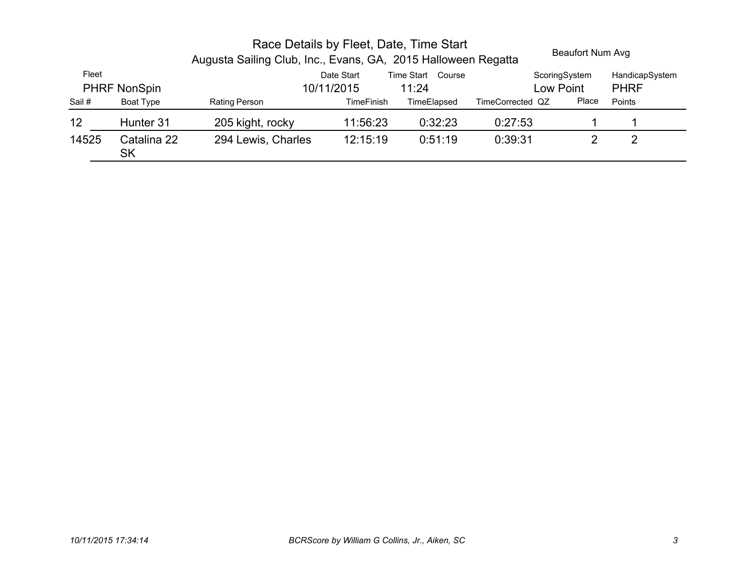|                              |                          | Race Details by Fleet, Date, Time Start<br>Augusta Sailing Club, Inc., Evans, GA, 2015 Halloween Regatta |                          |                               |                  | Beaufort Num Avg |                               |  |
|------------------------------|--------------------------|----------------------------------------------------------------------------------------------------------|--------------------------|-------------------------------|------------------|------------------|-------------------------------|--|
| Fleet<br><b>PHRF NonSpin</b> |                          |                                                                                                          | Date Start<br>10/11/2015 | Time Start<br>Course<br>11:24 | Low Point        | ScoringSystem    | HandicapSystem<br><b>PHRF</b> |  |
| Sail #                       | Boat Type                | <b>Rating Person</b>                                                                                     | <b>TimeFinish</b>        | TimeElapsed                   | TimeCorrected QZ | Place            | Points                        |  |
| 12                           | Hunter 31                | 205 kight, rocky                                                                                         | 11:56:23                 | 0:32:23                       | 0.27.53          |                  |                               |  |
| 14525                        | Catalina 22<br><b>SK</b> | 294 Lewis, Charles                                                                                       | 12:15:19                 | 0:51:19                       | 0:39:31          |                  |                               |  |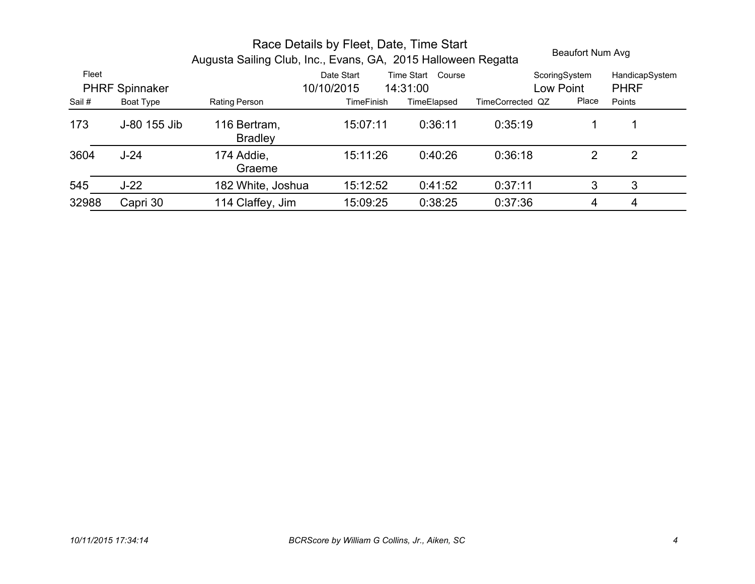|                                |              |                                | Race Details by Fleet, Date, Time Start<br>Beaufort Num Avg<br>Augusta Sailing Club, Inc., Evans, GA, 2015 Halloween Regatta |                                  |                  |                            |                               |
|--------------------------------|--------------|--------------------------------|------------------------------------------------------------------------------------------------------------------------------|----------------------------------|------------------|----------------------------|-------------------------------|
| Fleet<br><b>PHRF Spinnaker</b> |              |                                | Date Start<br>10/10/2015                                                                                                     | Time Start<br>Course<br>14:31:00 |                  | ScoringSystem<br>Low Point | HandicapSystem<br><b>PHRF</b> |
| Sail #                         | Boat Type    | Rating Person                  | TimeFinish                                                                                                                   | TimeElapsed                      | TimeCorrected QZ | Place                      | Points                        |
| 173                            | J-80 155 Jib | 116 Bertram.<br><b>Bradley</b> | 15:07:11                                                                                                                     | 0:36:11                          | 0:35:19          |                            |                               |
| 3604                           | $J-24$       | 174 Addie,<br>Graeme           | 15:11:26                                                                                                                     | 0:40:26                          | 0:36:18          | 2                          | 2                             |
| 545                            | $J-22$       | 182 White, Joshua              | 15:12:52                                                                                                                     | 0:41:52                          | 0:37:11          | 3                          | 3                             |
| 32988                          | Capri 30     | 114 Claffey, Jim               | 15:09:25                                                                                                                     | 0:38:25                          | 0:37:36          | 4                          | 4                             |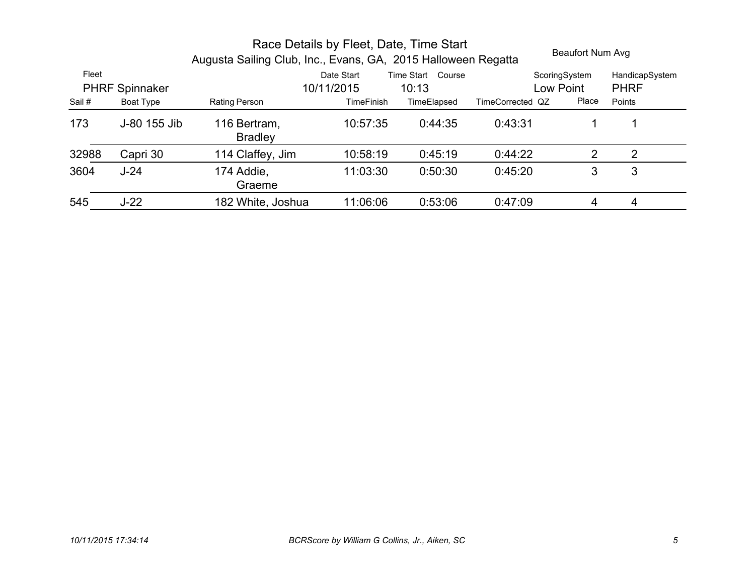|                                | racc Details by Fleet, Date, Time Otan<br>Beaufort Num Avg<br>Augusta Sailing Club, Inc., Evans, GA, 2015 Halloween Regatta |                                |                          |                            |                  |                            |                               |  |  |
|--------------------------------|-----------------------------------------------------------------------------------------------------------------------------|--------------------------------|--------------------------|----------------------------|------------------|----------------------------|-------------------------------|--|--|
| Fleet<br><b>PHRF Spinnaker</b> |                                                                                                                             |                                | Date Start<br>10/11/2015 | Time Start Course<br>10:13 |                  | ScoringSystem<br>Low Point | HandicapSystem<br><b>PHRF</b> |  |  |
| Sail #                         | Boat Type                                                                                                                   | <b>Rating Person</b>           | <b>TimeFinish</b>        | TimeElapsed                | TimeCorrected QZ | Place                      | Points                        |  |  |
| 173                            | J-80 155 Jib                                                                                                                | 116 Bertram,<br><b>Bradley</b> | 10:57:35                 | 0:44:35                    | 0:43:31          |                            |                               |  |  |
| 32988                          | Capri 30                                                                                                                    | 114 Claffey, Jim               | 10:58:19                 | 0:45:19                    | 0:44:22          | 2                          | 2                             |  |  |
| 3604                           | $J-24$                                                                                                                      | 174 Addie,<br>Graeme           | 11:03:30                 | 0:50:30                    | 0:45:20          | 3                          | 3                             |  |  |
| 545                            | $J-22$                                                                                                                      | 182 White, Joshua              | 11:06:06                 | 0:53:06                    | 0:47:09          | 4                          | 4                             |  |  |